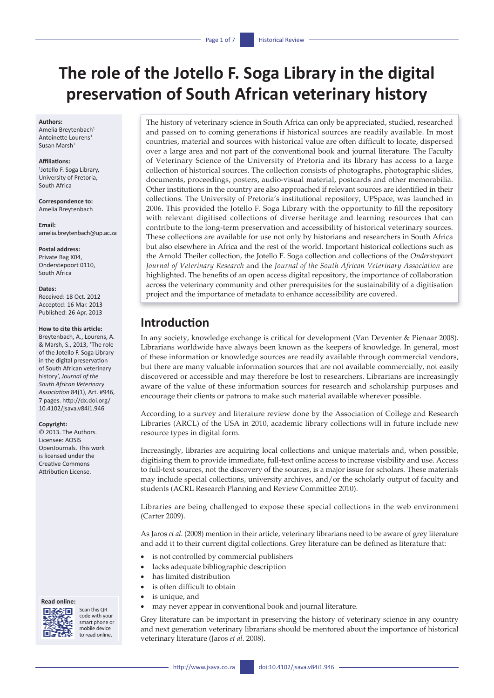# **The role of the Jotello F. Soga Library in the digital preservation of South African veterinary history**

#### **Authors:**

Amelia Breytenbach<sup>1</sup> Antoinette Lourens1 Susan Marsh1

#### **Affiliations:**

1 Jotello F. Soga Library, University of Pretoria, South Africa

**Correspondence to:** Amelia Breytenbach

**Email:** [amelia.breytenbach@up.ac.za](mailto:amelia.breytenbach@up.ac.za)

**Postal address:** Private Bag X04, Onderstepoort 0110, South Africa

#### **Dates:**

Received: 18 Oct. 2012 Accepted: 16 Mar. 2013 Published: 26 Apr. 2013

#### **How to cite this article:**

Breytenbach, A., Lourens, A. & Marsh, S., 2013, 'The role of the Jotello F. Soga Library in the digital preservation of South African veterinary history', *Journal of the South African Veterinary Association* 84(1), Art. #946, 7 pages. [http://dx.doi.org/](http://dx.doi.org/10.4102/jsava.v84i1.946)  [10.4102/jsava.v84i1.946](http://dx.doi.org/10.4102/jsava.v84i1.946)

#### **Copyright:**

© 2013. The Authors. Licensee: AOSIS OpenJournals. This work is licensed under the Creative Commons Attribution License.

#### **Read online:**



Scan this QR code with your smart phone or mobile device to read online.

The history of veterinary science in South Africa can only be appreciated, studied, researched and passed on to coming generations if historical sources are readily available. In most countries, material and sources with historical value are often difficult to locate, dispersed over a large area and not part of the conventional book and journal literature. The Faculty of Veterinary Science of the University of Pretoria and its library has access to a large collection of historical sources. The collection consists of photographs, photographic slides, documents, proceedings, posters, audio-visual material, postcards and other memorabilia. Other institutions in the country are also approached if relevant sources are identified in their collections. The University of Pretoria's institutional repository, UPSpace, was launched in 2006. This provided the Jotello F. Soga Library with the opportunity to fill the repository with relevant digitised collections of diverse heritage and learning resources that can contribute to the long-term preservation and accessibility of historical veterinary sources. These collections are available for use not only by historians and researchers in South Africa but also elsewhere in Africa and the rest of the world. Important historical collections such as the Arnold Theiler collection, the Jotello F. Soga collection and collections of the *Onderstepoort Journal of Veterinary Research* and the *Journal of the South African Veterinary Association* are highlighted. The benefits of an open access digital repository, the importance of collaboration across the veterinary community and other prerequisites for the sustainability of a digitisation project and the importance of metadata to enhance accessibility are covered.

## **Introduction**

In any society, knowledge exchange is critical for development (Van Deventer & Pienaar 2008). Librarians worldwide have always been known as the keepers of knowledge. In general, most of these information or knowledge sources are readily available through commercial vendors, but there are many valuable information sources that are not available commercially, not easily discovered or accessible and may therefore be lost to researchers. Librarians are increasingly aware of the value of these information sources for research and scholarship purposes and encourage their clients or patrons to make such material available wherever possible.

According to a survey and literature review done by the Association of College and Research Libraries (ARCL) of the USA in 2010, academic library collections will in future include new resource types in digital form.

Increasingly, libraries are acquiring local collections and unique materials and, when possible, digitising them to provide immediate, full-text online access to increase visibility and use. Access to full-text sources, not the discovery of the sources, is a major issue for scholars. These materials may include special collections, university archives, and/or the scholarly output of faculty and students (ACRL Research Planning and Review Committee 2010).

Libraries are being challenged to expose these special collections in the web environment (Carter 2009).

As Jaros *et al*. (2008) mention in their article, veterinary librarians need to be aware of grey literature and add it to their current digital collections. Grey literature can be defined as literature that:

- is not controlled by commercial publishers
- lacks adequate bibliographic description
- has limited distribution
- is often difficult to obtain
- is unique, and
- may never appear in conventional book and journal literature.

Grey literature can be important in preserving the history of veterinary science in any country and next generation veterinary librarians should be mentored about the importance of historical veterinary literature (Jaros *et al*. 2008).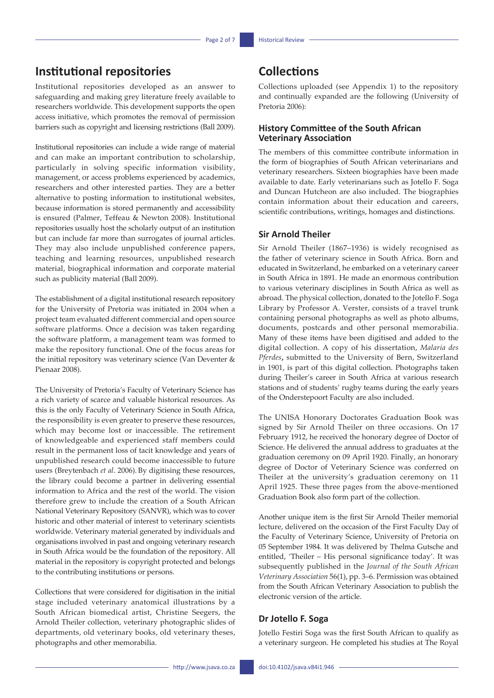## **Institutional repositories**

Institutional repositories developed as an answer to safeguarding and making grey literature freely available to researchers worldwide. This development supports the open access initiative, which promotes the removal of permission barriers such as copyright and licensing restrictions (Ball 2009).

Institutional repositories can include a wide range of material and can make an important contribution to scholarship, particularly in solving specific information visibility, management, or access problems experienced by academics, researchers and other interested parties. They are a better alternative to posting information to institutional websites, because information is stored permanently and accessibility is ensured (Palmer, Teffeau & Newton 2008). Institutional repositories usually host the scholarly output of an institution but can include far more than surrogates of journal articles. They may also include unpublished conference papers, teaching and learning resources, unpublished research material, biographical information and corporate material such as publicity material (Ball 2009).

The establishment of a digital institutional research repository for the University of Pretoria was initiated in 2004 when a project team evaluated different commercial and open source software platforms. Once a decision was taken regarding the software platform, a management team was formed to make the repository functional. One of the focus areas for the initial repository was veterinary science (Van Deventer & Pienaar 2008).

The University of Pretoria's Faculty of Veterinary Science has a rich variety of scarce and valuable historical resources. As this is the only Faculty of Veterinary Science in South Africa, the responsibility is even greater to preserve these resources, which may become lost or inaccessible. The retirement of knowledgeable and experienced staff members could result in the permanent loss of tacit knowledge and years of unpublished research could become inaccessible to future users (Breytenbach *et al*. 2006). By digitising these resources, the library could become a partner in delivering essential information to Africa and the rest of the world. The vision therefore grew to include the creation of a South African National Veterinary Repository (SANVR), which was to cover historic and other material of interest to veterinary scientists worldwide. Veterinary material generated by individuals and organisations involved in past and ongoing veterinary research in South Africa would be the foundation of the repository. All material in the repository is copyright protected and belongs to the contributing institutions or persons.

Collections that were considered for digitisation in the initial stage included veterinary anatomical illustrations by a South African biomedical artist, Christine Seegers, the Arnold Theiler collection, veterinary photographic slides of departments, old veterinary books, old veterinary theses, photographs and other memorabilia.

## **Collections**

Collections uploaded (see Appendix 1) to the repository and continually expanded are the following (University of Pretoria 2006):

### **History Committee of the South African Veterinary Association**

The members of this committee contribute information in the form of biographies of South African veterinarians and veterinary researchers. Sixteen biographies have been made available to date. Early veterinarians such as Jotello F. Soga and Duncan Hutcheon are also included. The biographies contain information about their education and careers, scientific contributions, writings, homages and distinctions.

### **Sir Arnold Theiler**

Sir Arnold Theiler (1867–1936) is widely recognised as the father of veterinary science in South Africa. Born and educated in Switzerland, he embarked on a veterinary career in South Africa in 1891. He made an enormous contribution to various veterinary disciplines in South Africa as well as abroad. The physical collection, donated to the Jotello F. Soga Library by Professor A. Verster, consists of a travel trunk containing personal photographs as well as photo albums, documents, postcards and other personal memorabilia. Many of these items have been digitised and added to the digital collection. A copy of his dissertation, *Malaria des Pferdes***,** submitted to the University of Bern, Switzerland in 1901, is part of this digital collection. Photographs taken during Theiler's career in South Africa at various research stations and of students' rugby teams during the early years of the Onderstepoort Faculty are also included.

The UNISA Honorary Doctorates Graduation Book was signed by Sir Arnold Theiler on three occasions. On 17 February 1912, he received the honorary degree of Doctor of Science. He delivered the annual address to graduates at the graduation ceremony on 09 April 1920. Finally, an honorary degree of Doctor of Veterinary Science was conferred on Theiler at the university's graduation ceremony on 11 April 1925. These three pages from the above-mentioned Graduation Book also form part of the collection.

Another unique item is the first Sir Arnold Theiler memorial lecture, delivered on the occasion of the First Faculty Day of the Faculty of Veterinary Science, University of Pretoria on 05 September 1984. It was delivered by Thelma Gutsche and entitled, 'Theiler – His personal significance today'. It was subsequently published in the *Journal of the South African Veterinary Association* 56(1), pp. 3–6. Permission was obtained from the South African Veterinary Association to publish the electronic version of the article.

### **Dr Jotello F. Soga**

Jotello Festiri Soga was the first South African to qualify as a veterinary surgeon. He completed his studies at The Royal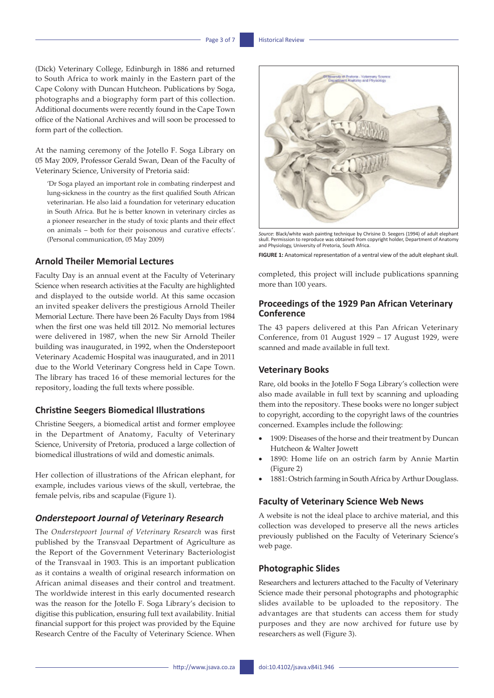(Dick) Veterinary College, Edinburgh in 1886 and returned to South Africa to work mainly in the Eastern part of the Cape Colony with Duncan Hutcheon. Publications by Soga, photographs and a biography form part of this collection. Additional documents were recently found in the Cape Town office of the National Archives and will soon be processed to form part of the collection.

At the naming ceremony of the Jotello F. Soga Library on 05 May 2009, Professor Gerald Swan, Dean of the Faculty of Veterinary Science, University of Pretoria said:

'Dr Soga played an important role in combating rinderpest and lung-sickness in the country as the first qualified South African veterinarian. He also laid a foundation for veterinary education in South Africa. But he is better known in veterinary circles as a pioneer researcher in the study of toxic plants and their effect on animals – both for their poisonous and curative effects'. (Personal communication, 05 May 2009)

#### **Arnold Theiler Memorial Lectures**

Faculty Day is an annual event at the Faculty of Veterinary Science when research activities at the Faculty are highlighted and displayed to the outside world. At this same occasion an invited speaker delivers the prestigious Arnold Theiler Memorial Lecture. There have been 26 Faculty Days from 1984 when the first one was held till 2012. No memorial lectures were delivered in 1987, when the new Sir Arnold Theiler building was inaugurated, in 1992, when the Onderstepoort Veterinary Academic Hospital was inaugurated, and in 2011 due to the World Veterinary Congress held in Cape Town. The library has traced 16 of these memorial lectures for the repository, loading the full texts where possible.

#### **Christine Seegers Biomedical Illustrations**

Christine Seegers, a biomedical artist and former employee in the Department of Anatomy, Faculty of Veterinary Science, University of Pretoria, produced a large collection of biomedical illustrations of wild and domestic animals.

Her collection of illustrations of the African elephant, for example, includes various views of the skull, vertebrae, the female pelvis, ribs and scapulae (Figure 1).

#### *Onderstepoort Journal of Veterinary Research*

The *Onderstepoort Journal of Veterinary Research* was first published by the Transvaal Department of Agriculture as the Report of the Government Veterinary Bacteriologist of the Transvaal in 1903. This is an important publication as it contains a wealth of original research information on African animal diseases and their control and treatment. The worldwide interest in this early documented research was the reason for the Jotello F. Soga Library's decision to digitise this publication, ensuring full text availability. Initial financial support for this project was provided by the Equine Research Centre of the Faculty of Veterinary Science. When



*Source*: Black/white wash painting technique by Chrisine D. Seegers (1994) of adult elephant skull. Permission to reproduce was obtained from copyright holder, Department of Anatomy and Physiology, University of Pretoria, South Africa.

**FIGURE 1:** Anatomical representation of a ventral view of the adult elephant skull.

completed, this project will include publications spanning more than 100 years.

### **Proceedings of the 1929 Pan African Veterinary Conference**

The 43 papers delivered at this Pan African Veterinary Conference, from 01 August 1929 – 17 August 1929, were scanned and made available in full text.

### **Veterinary Books**

Rare, old books in the Jotello F Soga Library's collection were also made available in full text by scanning and uploading them into the repository. These books were no longer subject to copyright, according to the copyright laws of the countries concerned. Examples include the following:

- 1909: Diseases of the horse and their treatment by Duncan Hutcheon & Walter Jowett
- 1890: Home life on an ostrich farm by Annie Martin (Figure 2)
- 1881: Ostrich farming in South Africa by Arthur Douglass.

#### **Faculty of Veterinary Science Web News**

A website is not the ideal place to archive material, and this collection was developed to preserve all the news articles previously published on the Faculty of Veterinary Science's web page.

#### **Photographic Slides**

Researchers and lecturers attached to the Faculty of Veterinary Science made their personal photographs and photographic slides available to be uploaded to the repository. The advantages are that students can access them for study purposes and they are now archived for future use by researchers as well (Figure 3).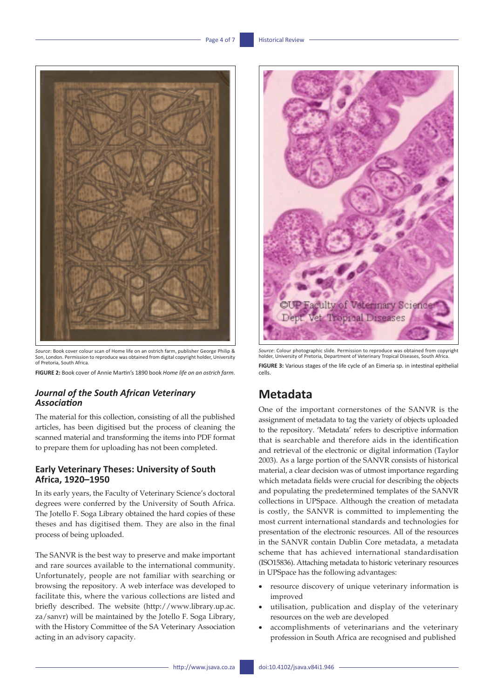

*Source*: Book cover colour scan of Home life on an ostrich farm, publisher George Philip & Son, London. Permission to reproduce was obtained from digital copyright holder, University of Pretoria, South Africa.

**FIGURE 2:** Book cover of Annie Martin's 1890 book *Home life on an ostrich farm*.

### *Journal of the South African Veterinary Association*

The material for this collection, consisting of all the published articles, has been digitised but the process of cleaning the scanned material and transforming the items into PDF format to prepare them for uploading has not been completed.

### **Early Veterinary Theses: University of South Africa, 1920–1950**

In its early years, the Faculty of Veterinary Science's doctoral degrees were conferred by the University of South Africa. The Jotello F. Soga Library obtained the hard copies of these theses and has digitised them. They are also in the final process of being uploaded.

The SANVR is the best way to preserve and make important and rare sources available to the international community. Unfortunately, people are not familiar with searching or browsing the repository. A web interface was developed to facilitate this, where the various collections are listed and briefly described. The website [\(http://www.library.up.ac.](http://www.library.up.ac.za/sanvr) [za/sanvr](http://www.library.up.ac.za/sanvr)) will be maintained by the Jotello F. Soga Library, with the History Committee of the SA Veterinary Association acting in an advisory capacity.



*Source*: Colour photographic slide. Permission to reproduce was obtained from copyright holder, University of Pretoria, Department of Veterinary Tropical Diseases, South Africa. **FIGURE 3:** Various stages of the life cycle of an Eimeria sp. in intestinal epithelial cells.

## **Metadata**

One of the important cornerstones of the SANVR is the assignment of metadata to tag the variety of objects uploaded to the repository. 'Metadata' refers to descriptive information that is searchable and therefore aids in the identification and retrieval of the electronic or digital information (Taylor 2003). As a large portion of the SANVR consists of historical material, a clear decision was of utmost importance regarding which metadata fields were crucial for describing the objects and populating the predetermined templates of the SANVR collections in UPSpace. Although the creation of metadata is costly, the SANVR is committed to implementing the most current international standards and technologies for presentation of the electronic resources. All of the resources in the SANVR contain Dublin Core metadata, a metadata scheme that has achieved international standardisation (ISO15836). Attaching metadata to historic veterinary resources in UPSpace has the following advantages:

- resource discovery of unique veterinary information is improved
- utilisation, publication and display of the veterinary resources on the web are developed
- accomplishments of veterinarians and the veterinary profession in South Africa are recognised and published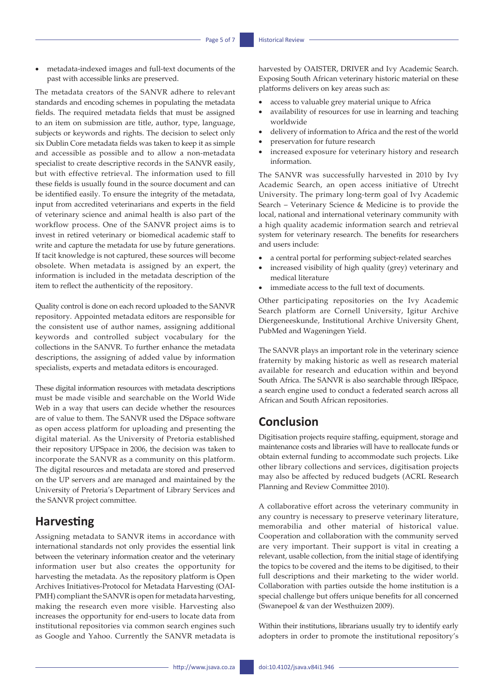metadata-indexed images and full-text documents of the past with accessible links are preserved.

The metadata creators of the SANVR adhere to relevant standards and encoding schemes in populating the metadata fields. The required metadata fields that must be assigned to an item on submission are title, author, type, language, subjects or keywords and rights. The decision to select only six Dublin Core metadata fields was taken to keep it as simple and accessible as possible and to allow a non-metadata specialist to create descriptive records in the SANVR easily, but with effective retrieval. The information used to fill these fields is usually found in the source document and can be identified easily. To ensure the integrity of the metadata, input from accredited veterinarians and experts in the field of veterinary science and animal health is also part of the workflow process. One of the SANVR project aims is to invest in retired veterinary or biomedical academic staff to write and capture the metadata for use by future generations. If tacit knowledge is not captured, these sources will become obsolete. When metadata is assigned by an expert, the information is included in the metadata description of the item to reflect the authenticity of the repository.

Quality control is done on each record uploaded to the SANVR repository. Appointed metadata editors are responsible for the consistent use of author names, assigning additional keywords and controlled subject vocabulary for the collections in the SANVR. To further enhance the metadata descriptions, the assigning of added value by information specialists, experts and metadata editors is encouraged.

These digital information resources with metadata descriptions must be made visible and searchable on the World Wide Web in a way that users can decide whether the resources are of value to them. The SANVR used the DSpace software as open access platform for uploading and presenting the digital material. As the University of Pretoria established their repository UPSpace in 2006, the decision was taken to incorporate the SANVR as a community on this platform. The digital resources and metadata are stored and preserved on the UP servers and are managed and maintained by the University of Pretoria's Department of Library Services and the SANVR project committee.

## **Harvesting**

Assigning metadata to SANVR items in accordance with international standards not only provides the essential link between the veterinary information creator and the veterinary information user but also creates the opportunity for harvesting the metadata. As the repository platform is Open Archives Initiatives-Protocol for Metadata Harvesting (OAI-PMH) compliant the SANVR is open for metadata harvesting, making the research even more visible. Harvesting also increases the opportunity for end-users to locate data from institutional repositories via common search engines such as Google and Yahoo. Currently the SANVR metadata is

harvested by OAISTER, DRIVER and Ivy Academic Search. Exposing South African veterinary historic material on these platforms delivers on key areas such as:

- access to valuable grey material unique to Africa
- availability of resources for use in learning and teaching worldwide
- delivery of information to Africa and the rest of the world
- preservation for future research
- increased exposure for veterinary history and research information.

The SANVR was successfully harvested in 2010 by Ivy Academic Search, an open access initiative of Utrecht University. The primary long-term goal of Ivy Academic Search – Veterinary Science & Medicine is to provide the local, national and international veterinary community with a high quality academic information search and retrieval system for veterinary research. The benefits for researchers and users include:

- a central portal for performing subject-related searches
- increased visibility of high quality (grey) veterinary and medical literature
- immediate access to the full text of documents.

Other participating repositories on the Ivy Academic Search platform are Cornell University, Igitur Archive Diergeneeskunde, Institutional Archive University Ghent, PubMed and Wageningen Yield.

The SANVR plays an important role in the veterinary science fraternity by making historic as well as research material available for research and education within and beyond South Africa. The SANVR is also searchable through IRSpace, a search engine used to conduct a federated search across all African and South African repositories.

### **Conclusion**

Digitisation projects require staffing, equipment, storage and maintenance costs and libraries will have to reallocate funds or obtain external funding to accommodate such projects. Like other library collections and services, digitisation projects may also be affected by reduced budgets (ACRL Research Planning and Review Committee 2010).

A collaborative effort across the veterinary community in any country is necessary to preserve veterinary literature, memorabilia and other material of historical value. Cooperation and collaboration with the community served are very important. Their support is vital in creating a relevant, usable collection, from the initial stage of identifying the topics to be covered and the items to be digitised, to their full descriptions and their marketing to the wider world. Collaboration with parties outside the home institution is a special challenge but offers unique benefits for all concerned (Swanepoel & van der Westhuizen 2009).

Within their institutions, librarians usually try to identify early adopters in order to promote the institutional repository's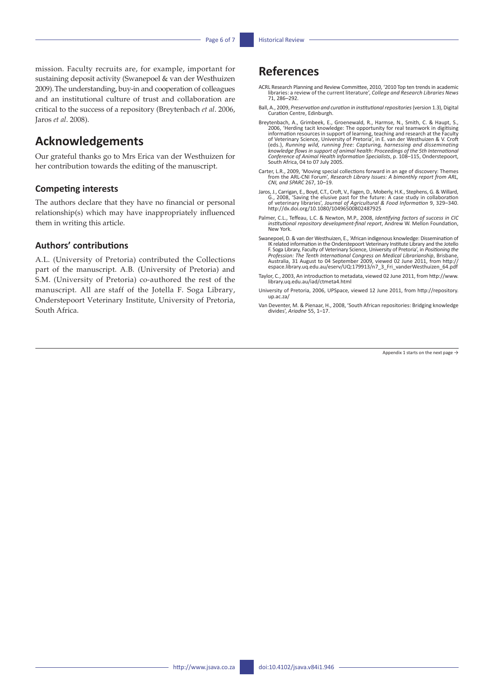mission. Faculty recruits are, for example, important for sustaining deposit activity (Swanepoel & van der Westhuizen 2009).The understanding, buy-in and cooperation of colleagues and an institutional culture of trust and collaboration are critical to the success of a repository (Breytenbach *et al*. 2006, Jaros *et al*. 2008).

## **Acknowledgements**

Our grateful thanks go to Mrs Erica van der Westhuizen for her contribution towards the editing of the manuscript.

#### **Competing interests**

The authors declare that they have no financial or personal relationship(s) which may have inappropriately influenced them in writing this article.

### **Authors' contributions**

A.L. (University of Pretoria) contributed the Collections part of the manuscript. A.B. (University of Pretoria) and S.M. (University of Pretoria) co-authored the rest of the manuscript. All are staff of the Jotella F. Soga Library, Onderstepoort Veterinary Institute, University of Pretoria, South Africa.

## **References**

- ACRL Research Planning and Review Committee, 2010, '2010 Top ten trends in academic libraries: a review of the current literature', *College and Research Libraries News* 71, 286–292.
- Ball, A., 2009, *Preservation and curation in institutional repositories* (version 1.3), Digital Curation Centre, Edinburgh.
- Breytenbach, A., Grimbeek, E., Groenewald, R., Harmse, N., Smith, C. & Haupt, S., 2006, 'Herding tacit knowledge: The opportunity for real teamwark in digitising information resources in support of learning, teaching and r (eds.), *Running wild, running free: Capturing, harnessing and disseminating knowledge flows in support of animal health: Proceedings of the 5th International Conference of Animal Health Information Specialists*, p. 108–115, Onderstepoort, South Africa, 04 to 07 July 2005.
- Carter, L.R., 2009, 'Moving special collections forward in an age of discovery: Themes from the ARL-CNI Forum', *Research Library Issues: A bimonthly report from ARL, CNI, and SPARC* 267, 10–19.
- Jaros, J., Carrigan, E., Boyd, C.T., Croft, V., Fagen, D., Moberly, H.K., Stephens, G. & Willard,<br>G., 2008, 'Saving the elusive past for the future: A case study in collaboration<br>of veterinary libraries', Journal of Agric <http://dx.doi.org/10.1080/10496500802487925>
- Palmer, C.L., Teffeau, L.C. & Newton, M.P., 2008, *Identifying factors of success in CIC institutional repository development-final report*, Andrew W. Mellon Foundation, New York.
- Swanepoel, D. & van der Westhuizen, E., 'African indigenous knowledge: Dissemination of IK related information in the Onderstepoort Veterinary Institute Library and the Jotello F. Soga Library, Faculty of Veterinary Science, University of Pretoria', in *Positioning the Profession: The Tenth International Congress on Medical Librarianship*, Brisbane, Australia, 31 August to 04 September 2009, viewed 02 June 2011, from [http://](http://espace.library.uq.edu.au/eserv/UQ:179913/n7_3_Fri_vanderWesthuizen_64.pdf) [espace.library.uq.edu.au/eserv/UQ:179913/n7\\_3\\_Fri\\_vanderWesthuizen\\_64.pdf](http://espace.library.uq.edu.au/eserv/UQ:179913/n7_3_Fri_vanderWesthuizen_64.pdf)
- Taylor, C., 2003, An introduction to metadata, viewed 02 June 2011, from [http://www.](http://www.library.uq.edu.au/iad/ctmeta4.html) [library.uq.edu.au/iad/ctmeta4.html](http://www.library.uq.edu.au/iad/ctmeta4.html)
- University of Pretoria, 2006, UPSpace, viewed 12 June 2011, from [http://repository.](http://repository.up.ac.za/) [up.ac.za/](http://repository.up.ac.za/)
- Van Deventer, M. & Pienaar, H., 2008, 'South African repositories: Bridging knowledge divides', *Ariadne* 55, 1–17.

Appendix 1 starts on the next page  $\rightarrow$